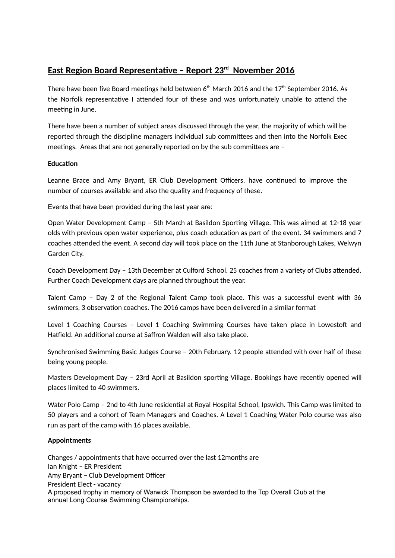# **East Region Board Representative – Report 23rd November 2016**

There have been five Board meetings held between  $6<sup>th</sup>$  March 2016 and the 17<sup>th</sup> September 2016. As the Norfolk representative I attended four of these and was unfortunately unable to attend the meeting in June.

There have been a number of subject areas discussed through the year, the majority of which will be reported through the discipline managers individual sub committees and then into the Norfolk Exec meetings. Areas that are not generally reported on by the sub committees are –

## **Education**

Leanne Brace and Amy Bryant, ER Club Development Officers, have continued to improve the number of courses available and also the quality and frequency of these.

Events that have been provided during the last year are:

Open Water Development Camp – 5th March at Basildon Sporting Village. This was aimed at 12-18 year olds with previous open water experience, plus coach education as part of the event. 34 swimmers and 7 coaches attended the event. A second day will took place on the 11th June at Stanborough Lakes, Welwyn Garden City.

Coach Development Day – 13th December at Culford School. 25 coaches from a variety of Clubs attended. Further Coach Development days are planned throughout the year.

Talent Camp – Day 2 of the Regional Talent Camp took place. This was a successful event with 36 swimmers, 3 observation coaches. The 2016 camps have been delivered in a similar format

Level 1 Coaching Courses – Level 1 Coaching Swimming Courses have taken place in Lowestoft and Hatfield. An additional course at Saffron Walden will also take place.

Synchronised Swimming Basic Judges Course – 20th February. 12 people attended with over half of these being young people.

Masters Development Day – 23rd April at Basildon sporting Village. Bookings have recently opened will places limited to 40 swimmers.

Water Polo Camp – 2nd to 4th June residential at Royal Hospital School, Ipswich. This Camp was limited to 50 players and a cohort of Team Managers and Coaches. A Level 1 Coaching Water Polo course was also run as part of the camp with 16 places available.

## **Appointments**

Changes / appointments that have occurred over the last 12months are Ian Knight – ER President Amy Bryant – Club Development Officer President Elect - vacancy A proposed trophy in memory of Warwick Thompson be awarded to the Top Overall Club at the annual Long Course Swimming Championships.